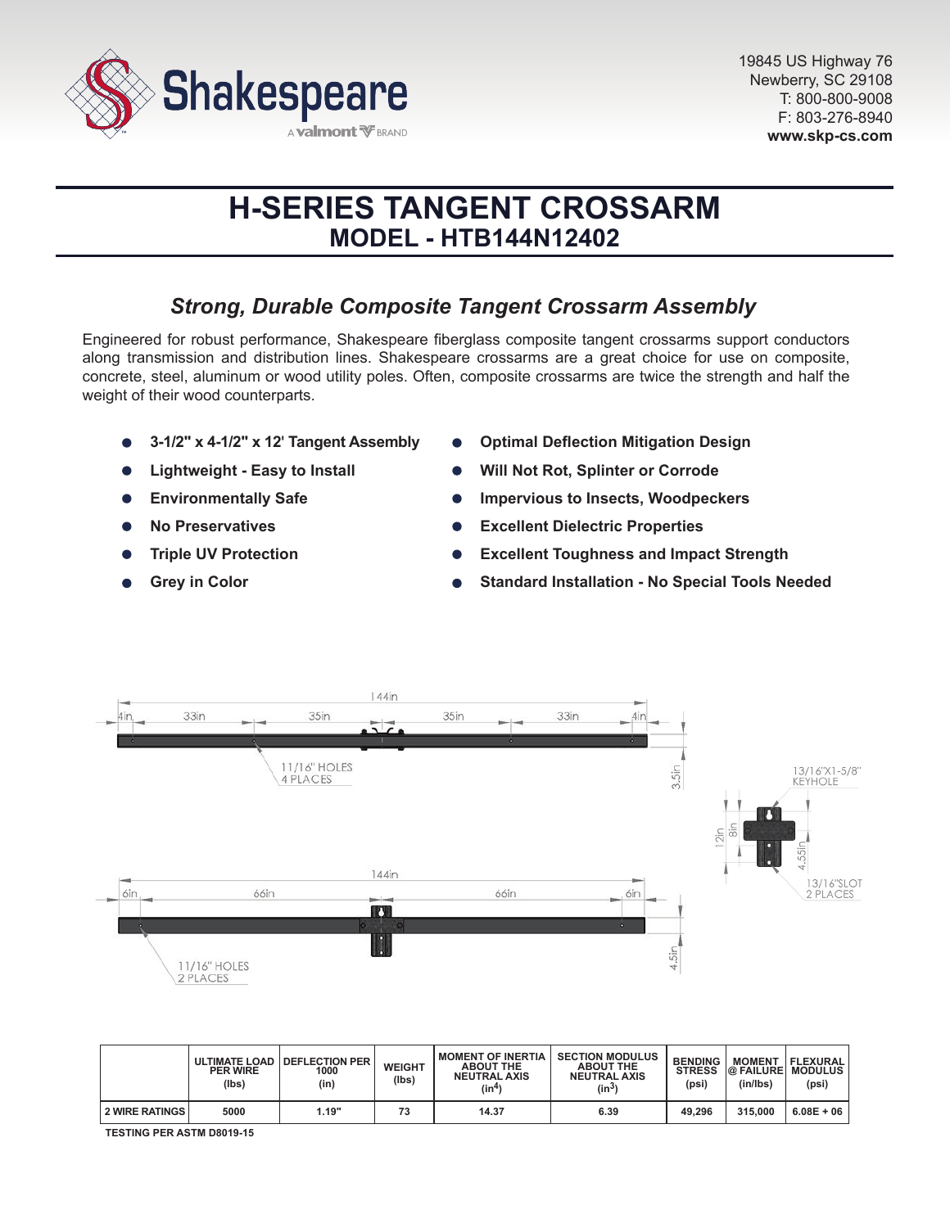

# **H-SERIES TANGENT CROSSARM MODEL - HTB144N12402**

# *Strong, Durable Composite Tangent Crossarm Assembly*

Engineered for robust performance, Shakespeare fiberglass composite tangent crossarms support conductors along transmission and distribution lines. Shakespeare crossarms are a great choice for use on composite, concrete, steel, aluminum or wood utility poles. Often, composite crossarms are twice the strength and half the weight of their wood counterparts.

- **3-1/2" x 4-1/2" x 12' Tangent Assembly**
- **Lightweight Easy to Install**
- **Environmentally Safe**  $\bullet$
- **No Preservatives**
- **Triple UV Protection**
- **Grey in Color**
- **Optimal Deflection Mitigation Design**
- **Will Not Rot, Splinter or Corrode**
- **Impervious to Insects, Woodpeckers**
- **Excellent Dielectric Properties**
- **Excellent Toughness and Impact Strength**
- **Standard Installation No Special Tools Needed**



|                | <b>PER WIRE</b><br>(lbs) | ULTIMATE LOAD   DEFLECTION PER<br>1000<br>(in) | <b>WEIGHT</b><br>(Ibs) | <b>I MOMENT OF INERTIA</b><br><b>ABOUT THE</b><br><b>NEUTRAL AXIS</b><br>(in <sup>4</sup> ) | <b>SECTION MODULUS</b><br><b>ABOUT THE</b><br><b>NEUTRAL AXIS</b><br>(in $^{3}$ | <b>BENDING</b><br><b>STRESS</b><br>(psi) | <b>MOMENT</b><br><b>@ FAILURE MODULUS</b><br>(in/lbs) | <b>FLEXURAL</b><br>(psi) |
|----------------|--------------------------|------------------------------------------------|------------------------|---------------------------------------------------------------------------------------------|---------------------------------------------------------------------------------|------------------------------------------|-------------------------------------------------------|--------------------------|
| 2 WIRE RATINGS | 5000                     | 1.19"                                          | 73                     | 14.37                                                                                       | 6.39                                                                            | 49.296                                   | 315,000                                               | $6.08E + 06$             |

**TESTING PER ASTM D8019-15**